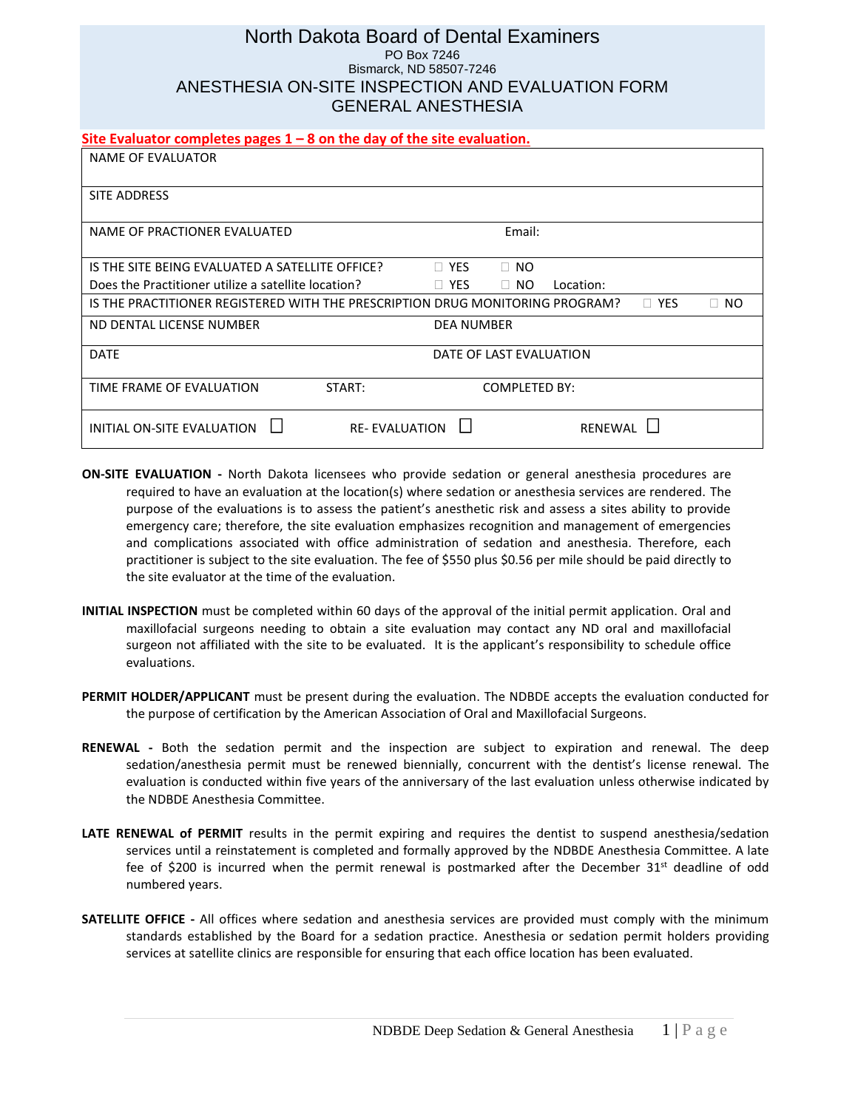#### North Dakota Board of Dental Examiners PO Box 7246 Bismarck, ND 58507-7246 ANESTHESIA ON-SITE INSPECTION AND EVALUATION FORM GENERAL ANESTHESIA

#### **Site Evaluator completes pages 1 – 8 on the day of the site evaluation.**

| NAME OF EVALUATOR                                                             |                                        |
|-------------------------------------------------------------------------------|----------------------------------------|
| SITE ADDRESS                                                                  |                                        |
| NAME OF PRACTIONER EVALUATED                                                  | Email:                                 |
| IS THE SITE BEING EVALUATED A SATELLITE OFFICE?                               | $\Box$ YES<br>$\Box$ NO                |
| Does the Practitioner utilize a satellite location?                           | $\Box$ Yes<br>$\Box$ NO<br>Location:   |
| IS THE PRACTITIONER REGISTERED WITH THE PRESCRIPTION DRUG MONITORING PROGRAM? | $\Box$ YES<br>NO.<br>П.                |
| ND DENTAL LICENSE NUMBER                                                      | <b>DEA NUMBER</b>                      |
| <b>DATE</b>                                                                   | DATE OF LAST EVALUATION                |
| TIME FRAME OF EVALUATION<br>START:                                            | <b>COMPLETED BY:</b>                   |
| INITIAL ON-SITE EVALUATION                                                    | <b>RE-EVALUATION</b><br><b>RENEWAL</b> |

- **ON-SITE EVALUATION -** North Dakota licensees who provide sedation or general anesthesia procedures are required to have an evaluation at the location(s) where sedation or anesthesia services are rendered. The purpose of the evaluations is to assess the patient's anesthetic risk and assess a sites ability to provide emergency care; therefore, the site evaluation emphasizes recognition and management of emergencies and complications associated with office administration of sedation and anesthesia. Therefore, each practitioner is subject to the site evaluation. The fee of \$550 plus \$0.56 per mile should be paid directly to the site evaluator at the time of the evaluation.
- **INITIAL INSPECTION** must be completed within 60 days of the approval of the initial permit application. Oral and maxillofacial surgeons needing to obtain a site evaluation may contact any ND oral and maxillofacial surgeon not affiliated with the site to be evaluated. It is the applicant's responsibility to schedule office evaluations.
- **PERMIT HOLDER/APPLICANT** must be present during the evaluation. The NDBDE accepts the evaluation conducted for the purpose of certification by the American Association of Oral and Maxillofacial Surgeons.
- **RENEWAL -** Both the sedation permit and the inspection are subject to expiration and renewal. The deep sedation/anesthesia permit must be renewed biennially, concurrent with the dentist's license renewal. The evaluation is conducted within five years of the anniversary of the last evaluation unless otherwise indicated by the NDBDE Anesthesia Committee.
- **LATE RENEWAL of PERMIT** results in the permit expiring and requires the dentist to suspend anesthesia/sedation services until a reinstatement is completed and formally approved by the NDBDE Anesthesia Committee. A late fee of \$200 is incurred when the permit renewal is postmarked after the December  $31<sup>st</sup>$  deadline of odd numbered years.
- **SATELLITE OFFICE -** All offices where sedation and anesthesia services are provided must comply with the minimum standards established by the Board for a sedation practice. Anesthesia or sedation permit holders providing services at satellite clinics are responsible for ensuring that each office location has been evaluated.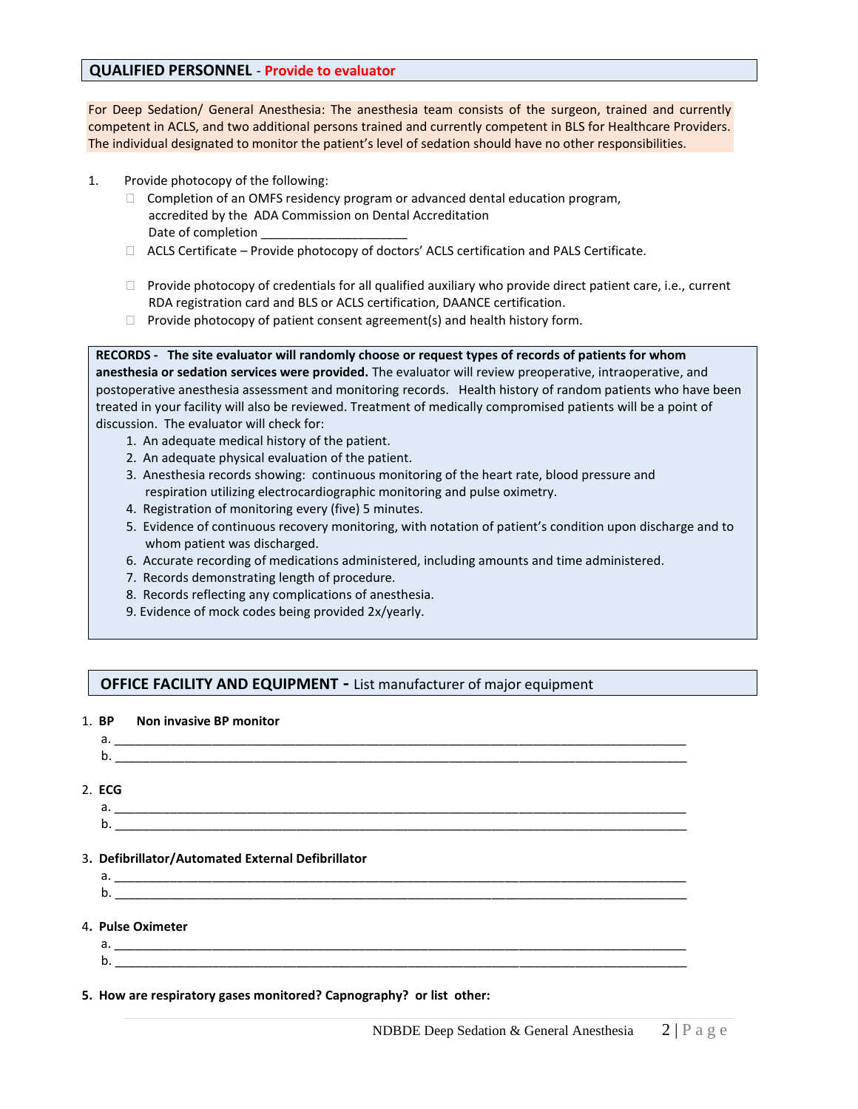#### **QUALIFIED PERSONNEL** - **Provide to evaluator**

For Deep Sedation/ General Anesthesia: The anesthesia team consists of the surgeon, trained and currently competent in ACLS, and two additional persons trained and currently competent in BLS for Healthcare Providers. The individual designated to monitor the patient's level of sedation should have no other responsibilities.

- 1. Provide photocopy of the following:
	- $\Box$  Completion of an OMFS residency program or advanced dental education program, accredited by the ADA Commission on Dental Accreditation Date of completion
	- $\Box$  ACLS Certificate Provide photocopy of doctors' ACLS certification and PALS Certificate.
	- $\Box$  Provide photocopy of credentials for all qualified auxiliary who provide direct patient care, i.e., current RDA registration card and BLS or ACLS certification, DAANCE certification.
	- $\Box$  Provide photocopy of patient consent agreement(s) and health history form.

**RECORDS - The site evaluator will randomly choose or request types of records of patients for whom anesthesia or sedation services were provided.** The evaluator will review preoperative, intraoperative, and postoperative anesthesia assessment and monitoring records. Health history of random patients who have been treated in your facility will also be reviewed. Treatment of medically compromised patients will be a point of discussion. The evaluator will check for:

- 1. An adequate medical history of the patient.
- 2. An adequate physical evaluation of the patient.
- 3. Anesthesia records showing: continuous monitoring of the heart rate, blood pressure and respiration utilizing electrocardiographic monitoring and pulse oximetry.
- 4. Registration of monitoring every (five) 5 minutes.
- 5. Evidence of continuous recovery monitoring, with notation of patient's condition upon discharge and to whom patient was discharged.
- 6. Accurate recording of medications administered, including amounts and time administered.
- 7. Records demonstrating length of procedure.
- 8. Records reflecting any complications of anesthesia.
- 9. Evidence of mock codes being provided 2x/yearly.

## **OFFICE FACILITY AND EQUIPMENT - List manufacturer of major equipment**

#### 1. **BP Non invasive BP monitor**

| ________<br>____ | _____________ | ________ | __________<br>__________ | ____         | ____                |
|------------------|---------------|----------|--------------------------|--------------|---------------------|
|                  |               |          | __________               | ____<br>____ | ________<br>_______ |

- 2. **ECG**
- a. \_\_\_\_\_\_\_\_\_\_\_\_\_\_\_\_\_\_\_\_\_\_\_\_\_\_\_\_\_\_\_\_\_\_\_\_\_\_\_\_\_\_\_\_\_\_\_\_\_\_\_\_\_\_\_\_\_\_\_\_\_\_\_\_\_\_\_\_\_\_\_\_\_\_\_\_\_\_\_\_\_\_  $\mathsf{b}$ .
- 3**. Defibrillator/Automated External Defibrillator**
- a. \_\_\_\_\_\_\_\_\_\_\_\_\_\_\_\_\_\_\_\_\_\_\_\_\_\_\_\_\_\_\_\_\_\_\_\_\_\_\_\_\_\_\_\_\_\_\_\_\_\_\_\_\_\_\_\_\_\_\_\_\_\_\_\_\_\_\_\_\_\_\_\_\_\_\_\_\_\_\_\_\_\_ b. \_\_\_\_\_\_\_\_\_\_\_\_\_\_\_\_\_\_\_\_\_\_\_\_\_\_\_\_\_\_\_\_\_\_\_\_\_\_\_\_\_\_\_\_\_\_\_\_\_\_\_\_\_\_\_\_\_\_\_\_\_\_\_\_\_\_\_\_\_\_\_\_\_\_\_\_\_\_\_\_\_\_
- 4**. Pulse Oximeter**
- a. \_\_\_\_\_\_\_\_\_\_\_\_\_\_\_\_\_\_\_\_\_\_\_\_\_\_\_\_\_\_\_\_\_\_\_\_\_\_\_\_\_\_\_\_\_\_\_\_\_\_\_\_\_\_\_\_\_\_\_\_\_\_\_\_\_\_\_\_\_\_\_\_\_\_\_\_\_\_\_\_\_\_ b. \_\_\_\_\_\_\_\_\_\_\_\_\_\_\_\_\_\_\_\_\_\_\_\_\_\_\_\_\_\_\_\_\_\_\_\_\_\_\_\_\_\_\_\_\_\_\_\_\_\_\_\_\_\_\_\_\_\_\_\_\_\_\_\_\_\_\_\_\_\_\_\_\_\_\_\_\_\_\_\_\_\_

**5. How are respiratory gases monitored? Capnography? or list other:**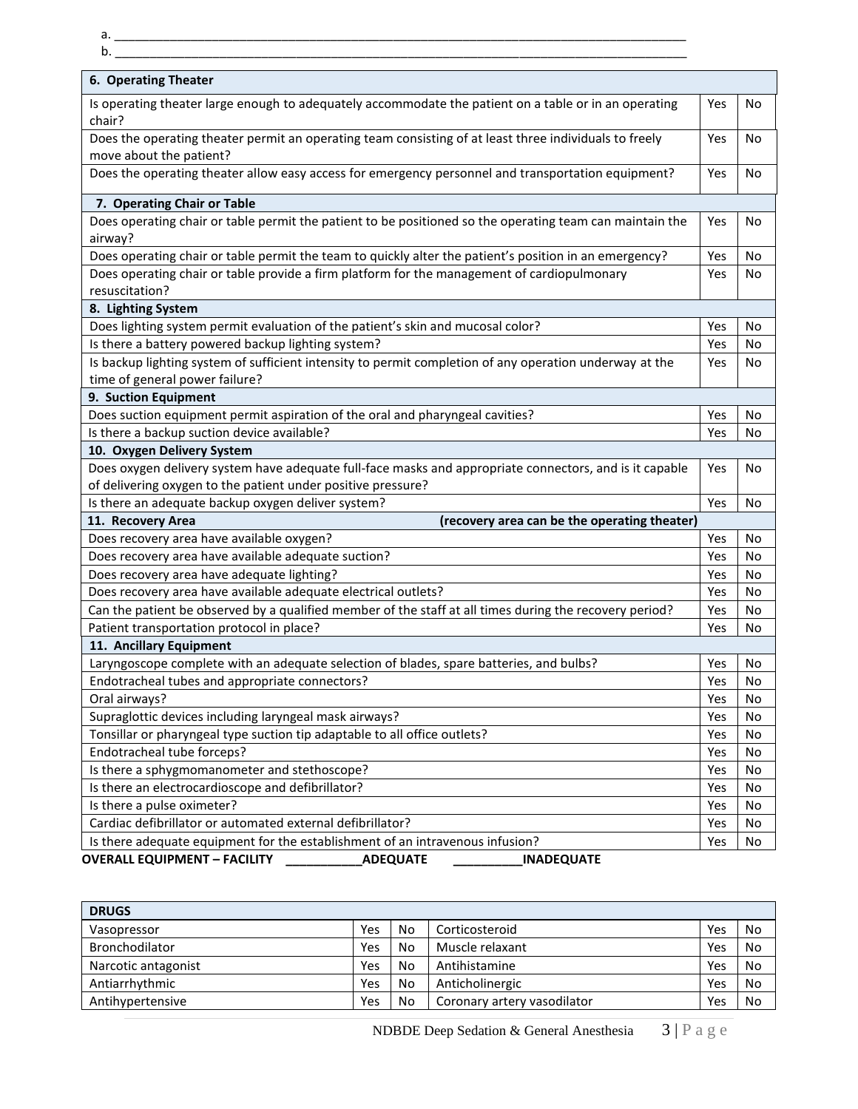a. \_\_\_\_\_\_\_\_\_\_\_\_\_\_\_\_\_\_\_\_\_\_\_\_\_\_\_\_\_\_\_\_\_\_\_\_\_\_\_\_\_\_\_\_\_\_\_\_\_\_\_\_\_\_\_\_\_\_\_\_\_\_\_\_\_\_\_\_\_\_\_\_\_\_\_\_\_\_\_\_\_\_

| 6. Operating Theater                                                                                            |     |  |
|-----------------------------------------------------------------------------------------------------------------|-----|--|
| Is operating theater large enough to adequately accommodate the patient on a table or in an operating<br>chair? | Yes |  |
| Does the operating theater permit an operating team consisting of at least three individuals to freely          | Yes |  |
| move about the patient?                                                                                         |     |  |
| Does the operating theater allow easy access for emergency personnel and transportation equipment?              | Yes |  |
| 7. Operating Chair or Table                                                                                     |     |  |
| Does operating chair or table permit the patient to be positioned so the operating team can maintain the        | Yes |  |
| airway?                                                                                                         |     |  |
| Does operating chair or table permit the team to quickly alter the patient's position in an emergency?          | Yes |  |
| Does operating chair or table provide a firm platform for the management of cardiopulmonary                     | Yes |  |
| resuscitation?                                                                                                  |     |  |
| 8. Lighting System                                                                                              |     |  |
| Does lighting system permit evaluation of the patient's skin and mucosal color?                                 | Yes |  |
| Is there a battery powered backup lighting system?                                                              | Yes |  |
| Is backup lighting system of sufficient intensity to permit completion of any operation underway at the         | Yes |  |
| time of general power failure?                                                                                  |     |  |
| 9. Suction Equipment                                                                                            |     |  |
| Does suction equipment permit aspiration of the oral and pharyngeal cavities?                                   | Yes |  |
| Is there a backup suction device available?                                                                     | Yes |  |
| 10. Oxygen Delivery System                                                                                      |     |  |
| Does oxygen delivery system have adequate full-face masks and appropriate connectors, and is it capable         | Yes |  |
| of delivering oxygen to the patient under positive pressure?                                                    |     |  |
| Is there an adequate backup oxygen deliver system?                                                              | Yes |  |
| (recovery area can be the operating theater)<br>11. Recovery Area                                               |     |  |
| Does recovery area have available oxygen?                                                                       | Yes |  |
| Does recovery area have available adequate suction?                                                             | Yes |  |
| Does recovery area have adequate lighting?                                                                      | Yes |  |
| Does recovery area have available adequate electrical outlets?                                                  | Yes |  |
| Can the patient be observed by a qualified member of the staff at all times during the recovery period?         | Yes |  |
| Patient transportation protocol in place?                                                                       | Yes |  |
| 11. Ancillary Equipment                                                                                         |     |  |
| Laryngoscope complete with an adequate selection of blades, spare batteries, and bulbs?                         | Yes |  |
| Endotracheal tubes and appropriate connectors?                                                                  | Yes |  |
| Oral airways?                                                                                                   | Yes |  |
| Supraglottic devices including laryngeal mask airways?                                                          | Yes |  |
| Tonsillar or pharyngeal type suction tip adaptable to all office outlets?                                       | Yes |  |
| Endotracheal tube forceps?                                                                                      | Yes |  |
| Is there a sphygmomanometer and stethoscope?                                                                    | Yes |  |
| Is there an electrocardioscope and defibrillator?                                                               | Yes |  |
| Is there a pulse oximeter?                                                                                      | Yes |  |
| Cardiac defibrillator or automated external defibrillator?                                                      | Yes |  |

| <b>DRUGS</b>        |     |    |                             |     |    |
|---------------------|-----|----|-----------------------------|-----|----|
| Vasopressor         | Yes | No | Corticosteroid              | Yes | No |
| Bronchodilator      | Yes | No | Muscle relaxant             | Yes | No |
| Narcotic antagonist | Yes | No | Antihistamine               | Yes | No |
| Antiarrhythmic      | Yes | No | Anticholinergic             | Yes | No |
| Antihypertensive    | Yes | No | Coronary artery vasodilator | Yes | No |

NDBDE Deep Sedation & General Anesthesia 3 | P a g e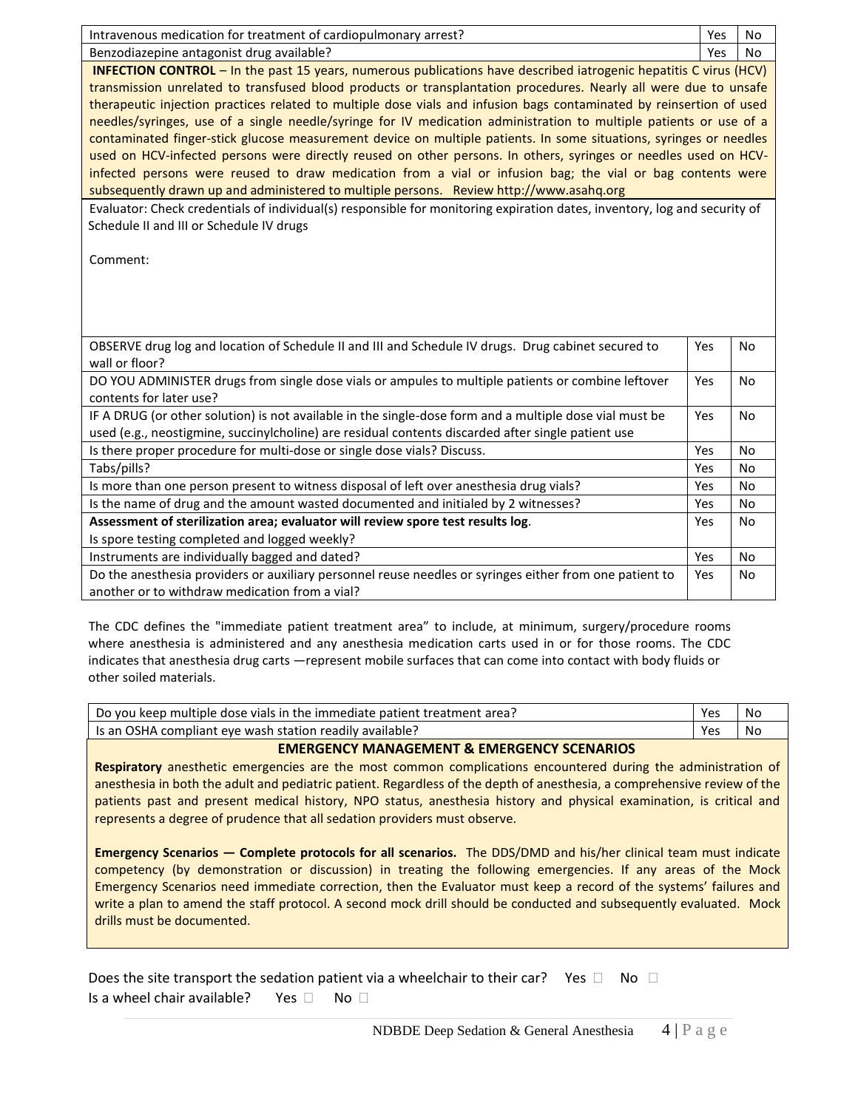| Intravenous medication for treatment of cardiopulmonary arrest?                                                           | Yes | <b>No</b> |  |  |
|---------------------------------------------------------------------------------------------------------------------------|-----|-----------|--|--|
| Benzodiazepine antagonist drug available?                                                                                 | Yes | No        |  |  |
| <b>INFECTION CONTROL</b> - In the past 15 years, numerous publications have described iatrogenic hepatitis C virus (HCV)  |     |           |  |  |
| transmission unrelated to transfused blood products or transplantation procedures. Nearly all were due to unsafe          |     |           |  |  |
| therapeutic injection practices related to multiple dose vials and infusion bags contaminated by reinsertion of used      |     |           |  |  |
| needles/syringes, use of a single needle/syringe for IV medication administration to multiple patients or use of a        |     |           |  |  |
| contaminated finger-stick glucose measurement device on multiple patients. In some situations, syringes or needles        |     |           |  |  |
| used on HCV-infected persons were directly reused on other persons. In others, syringes or needles used on HCV-           |     |           |  |  |
| infected persons were reused to draw medication from a vial or infusion bag; the vial or bag contents were                |     |           |  |  |
| subsequently drawn up and administered to multiple persons. Review http://www.asahq.org                                   |     |           |  |  |
| Evaluator: Check credentials of individual(s) responsible for monitoring expiration dates, inventory, log and security of |     |           |  |  |
| Schedule II and III or Schedule IV drugs                                                                                  |     |           |  |  |
| Comment:                                                                                                                  |     |           |  |  |
|                                                                                                                           |     |           |  |  |
|                                                                                                                           |     |           |  |  |
|                                                                                                                           |     |           |  |  |
|                                                                                                                           |     |           |  |  |
| OBSERVE drug log and location of Schedule II and III and Schedule IV drugs. Drug cabinet secured to                       | Yes | <b>No</b> |  |  |
| wall or floor?                                                                                                            |     |           |  |  |
| DO YOU ADMINISTER drugs from single dose vials or ampules to multiple patients or combine leftover                        | Yes | <b>No</b> |  |  |
| contents for later use?                                                                                                   |     |           |  |  |
| IF A DRUG (or other solution) is not available in the single-dose form and a multiple dose vial must be                   | Yes | <b>No</b> |  |  |
| used (e.g., neostigmine, succinylcholine) are residual contents discarded after single patient use                        |     |           |  |  |
| Is there proper procedure for multi-dose or single dose vials? Discuss.                                                   | Yes | No        |  |  |
| Tabs/pills?                                                                                                               | Yes | <b>No</b> |  |  |
| Is more than one person present to witness disposal of left over anesthesia drug vials?                                   | Yes | No        |  |  |
| Is the name of drug and the amount wasted documented and initialed by 2 witnesses?                                        | Yes | <b>No</b> |  |  |
| Assessment of sterilization area; evaluator will review spore test results log.                                           | Yes | <b>No</b> |  |  |
| Is spore testing completed and logged weekly?                                                                             |     |           |  |  |
| Instruments are individually bagged and dated?                                                                            | Yes | No        |  |  |
| Do the anesthesia providers or auxiliary personnel reuse needles or syringes either from one patient to                   | Yes | <b>No</b> |  |  |
| another or to withdraw medication from a vial?                                                                            |     |           |  |  |

 The CDC defines the "immediate patient treatment area" to include, at minimum, surgery/procedure rooms where anesthesia is administered and any anesthesia medication carts used in or for those rooms. The CDC indicates that anesthesia drug carts ―represent mobile surfaces that can come into contact with body fluids or other soiled materials.

| Do you keep multiple dose vials in the immediate patient treatment area? | Yes | No |
|--------------------------------------------------------------------------|-----|----|
| Is an OSHA compliant eve wash station readily available?                 | Yes | No |

#### **EMERGENCY MANAGEMENT & EMERGENCY SCENARIOS**

**Respiratory** anesthetic emergencies are the most common complications encountered during the administration of anesthesia in both the adult and pediatric patient. Regardless of the depth of anesthesia, a comprehensive review of the patients past and present medical history, NPO status, anesthesia history and physical examination, is critical and represents a degree of prudence that all sedation providers must observe.

**Emergency Scenarios ― Complete protocols for all scenarios.** The DDS/DMD and his/her clinical team must indicate competency (by demonstration or discussion) in treating the following emergencies. If any areas of the Mock Emergency Scenarios need immediate correction, then the Evaluator must keep a record of the systems' failures and write a plan to amend the staff protocol. A second mock drill should be conducted and subsequently evaluated. Mock drills must be documented.

|                                                        | Does the site transport the sedation patient via a wheelchair to their car? Yes $\Box$ No $\Box$ |  |
|--------------------------------------------------------|--------------------------------------------------------------------------------------------------|--|
| Is a wheel chair available? Yes $\square$ No $\square$ |                                                                                                  |  |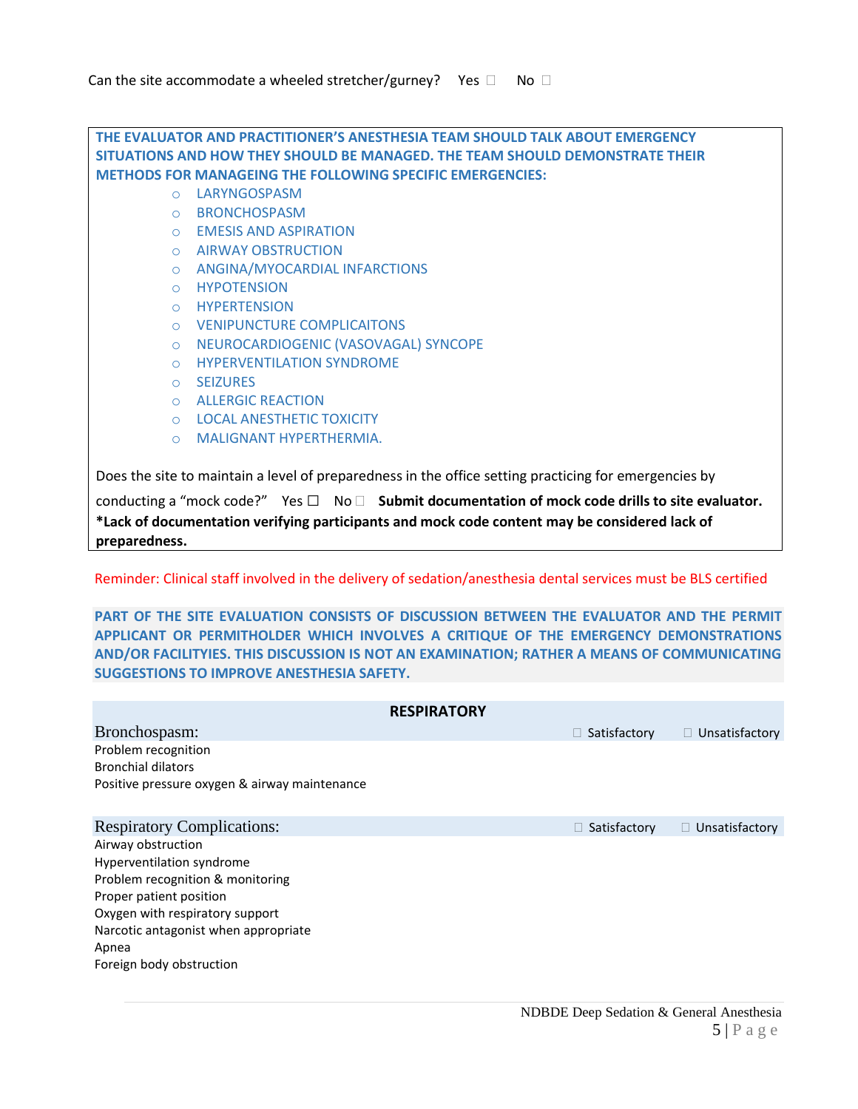**THE EVALUATOR AND PRACTITIONER'S ANESTHESIA TEAM SHOULD TALK ABOUT EMERGENCY SITUATIONS AND HOW THEY SHOULD BE MANAGED. THE TEAM SHOULD DEMONSTRATE THEIR METHODS FOR MANAGEING THE FOLLOWING SPECIFIC EMERGENCIES:** 

- o LARYNGOSPASM
- o BRONCHOSPASM
- o EMESIS AND ASPIRATION
- o AIRWAY OBSTRUCTION
- o ANGINA/MYOCARDIAL INFARCTIONS
- o HYPOTENSION
- o HYPERTENSION
- o VENIPUNCTURE COMPLICAITONS
- o NEUROCARDIOGENIC (VASOVAGAL) SYNCOPE
- o HYPERVENTILATION SYNDROME
- o SEIZURES
- o ALLERGIC REACTION
- o LOCAL ANESTHETIC TOXICITY
- o MALIGNANT HYPERTHERMIA.

Does the site to maintain a level of preparedness in the office setting practicing for emergencies by

conducting a "mock code?" Yes □ No □ Submit documentation of mock code drills to site evaluator. **\*Lack of documentation verifying participants and mock code content may be considered lack of preparedness.**

Reminder: Clinical staff involved in the delivery of sedation/anesthesia dental services must be BLS certified

**PART OF THE SITE EVALUATION CONSISTS OF DISCUSSION BETWEEN THE EVALUATOR AND THE PERMIT APPLICANT OR PERMITHOLDER WHICH INVOLVES A CRITIQUE OF THE EMERGENCY DEMONSTRATIONS AND/OR FACILITYIES. THIS DISCUSSION IS NOT AN EXAMINATION; RATHER A MEANS OF COMMUNICATING SUGGESTIONS TO IMPROVE ANESTHESIA SAFETY.** 

|                                               | <b>RESPIRATORY</b> |                     |                       |
|-----------------------------------------------|--------------------|---------------------|-----------------------|
| Bronchospasm:                                 |                    | $\Box$ Satisfactory | $\Box$ Unsatisfactory |
| Problem recognition                           |                    |                     |                       |
| <b>Bronchial dilators</b>                     |                    |                     |                       |
| Positive pressure oxygen & airway maintenance |                    |                     |                       |
|                                               |                    |                     |                       |
| <b>Respiratory Complications:</b>             |                    | $\Box$ Satisfactory | $\Box$ Unsatisfactory |
| Airway obstruction                            |                    |                     |                       |
| Hyperventilation syndrome                     |                    |                     |                       |
| Problem recognition & monitoring              |                    |                     |                       |
| Proper patient position                       |                    |                     |                       |
| Oxygen with respiratory support               |                    |                     |                       |
| Narcotic antagonist when appropriate          |                    |                     |                       |
| Apnea                                         |                    |                     |                       |
| Foreign body obstruction                      |                    |                     |                       |
|                                               |                    |                     |                       |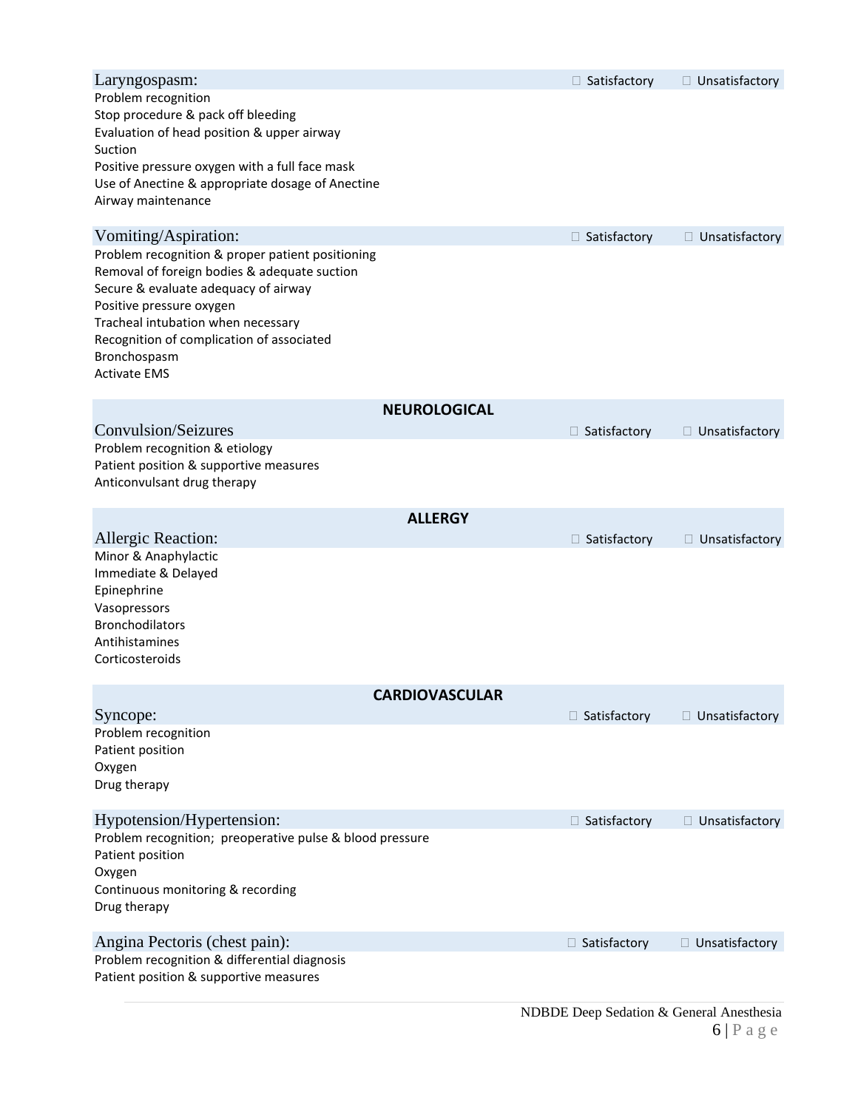| Laryngospasm:                                                                        |                       | $\Box$ Satisfactory | $\Box$ Unsatisfactory |
|--------------------------------------------------------------------------------------|-----------------------|---------------------|-----------------------|
| Problem recognition                                                                  |                       |                     |                       |
| Stop procedure & pack off bleeding                                                   |                       |                     |                       |
| Evaluation of head position & upper airway<br>Suction                                |                       |                     |                       |
| Positive pressure oxygen with a full face mask                                       |                       |                     |                       |
| Use of Anectine & appropriate dosage of Anectine                                     |                       |                     |                       |
| Airway maintenance                                                                   |                       |                     |                       |
|                                                                                      |                       |                     |                       |
| Vomiting/Aspiration:                                                                 |                       | □ Satisfactory      | $\Box$ Unsatisfactory |
| Problem recognition & proper patient positioning                                     |                       |                     |                       |
| Removal of foreign bodies & adequate suction<br>Secure & evaluate adequacy of airway |                       |                     |                       |
| Positive pressure oxygen                                                             |                       |                     |                       |
| Tracheal intubation when necessary                                                   |                       |                     |                       |
| Recognition of complication of associated                                            |                       |                     |                       |
| Bronchospasm                                                                         |                       |                     |                       |
| <b>Activate EMS</b>                                                                  |                       |                     |                       |
|                                                                                      | <b>NEUROLOGICAL</b>   |                     |                       |
| Convulsion/Seizures                                                                  |                       | $\Box$ Satisfactory | $\Box$ Unsatisfactory |
| Problem recognition & etiology                                                       |                       |                     |                       |
| Patient position & supportive measures                                               |                       |                     |                       |
| Anticonvulsant drug therapy                                                          |                       |                     |                       |
|                                                                                      |                       |                     |                       |
|                                                                                      | <b>ALLERGY</b>        |                     |                       |
| <b>Allergic Reaction:</b><br>Minor & Anaphylactic                                    |                       | $\Box$ Satisfactory | □ Unsatisfactory      |
| Immediate & Delayed                                                                  |                       |                     |                       |
| Epinephrine                                                                          |                       |                     |                       |
| Vasopressors                                                                         |                       |                     |                       |
| <b>Bronchodilators</b>                                                               |                       |                     |                       |
| Antihistamines                                                                       |                       |                     |                       |
| Corticosteroids                                                                      |                       |                     |                       |
|                                                                                      | <b>CARDIOVASCULAR</b> |                     |                       |
| Syncope:                                                                             |                       | $\Box$ Satisfactory | $\Box$ Unsatisfactory |
| Problem recognition                                                                  |                       |                     |                       |
| Patient position                                                                     |                       |                     |                       |
| Oxygen                                                                               |                       |                     |                       |
| Drug therapy                                                                         |                       |                     |                       |
| Hypotension/Hypertension:                                                            |                       | □ Satisfactory      | $\Box$ Unsatisfactory |
| Problem recognition; preoperative pulse & blood pressure                             |                       |                     |                       |
| Patient position                                                                     |                       |                     |                       |
| Oxygen                                                                               |                       |                     |                       |
| Continuous monitoring & recording                                                    |                       |                     |                       |
| Drug therapy                                                                         |                       |                     |                       |
| Angina Pectoris (chest pain):                                                        |                       | □ Satisfactory      | $\Box$ Unsatisfactory |
| Problem recognition & differential diagnosis                                         |                       |                     |                       |
| Patient position & supportive measures                                               |                       |                     |                       |
|                                                                                      | MDDDE D               |                     |                       |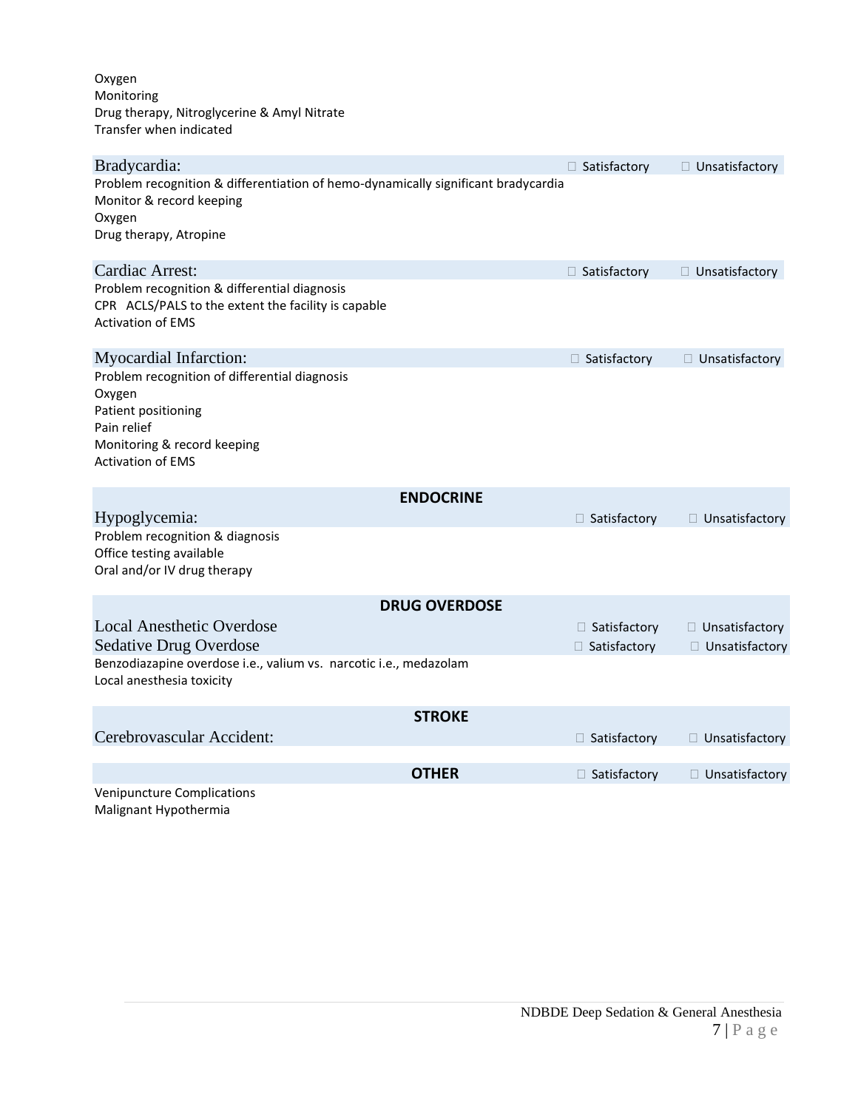Oxygen Monitoring Drug therapy, Nitroglycerine & Amyl Nitrate Transfer when indicated

| Bradycardia:                                                                                                                                             | □ Satisfactory                   | $\Box$ Unsatisfactory                |
|----------------------------------------------------------------------------------------------------------------------------------------------------------|----------------------------------|--------------------------------------|
| Problem recognition & differentiation of hemo-dynamically significant bradycardia<br>Monitor & record keeping<br>Oxygen                                  |                                  |                                      |
| Drug therapy, Atropine                                                                                                                                   |                                  |                                      |
| Cardiac Arrest:                                                                                                                                          | □ Satisfactory                   | $\Box$ Unsatisfactory                |
| Problem recognition & differential diagnosis<br>CPR ACLS/PALS to the extent the facility is capable<br><b>Activation of EMS</b>                          |                                  |                                      |
| Myocardial Infarction:                                                                                                                                   | □ Satisfactory                   | □ Unsatisfactory                     |
| Problem recognition of differential diagnosis<br>Oxygen<br>Patient positioning<br>Pain relief<br>Monitoring & record keeping<br><b>Activation of EMS</b> |                                  |                                      |
| <b>ENDOCRINE</b>                                                                                                                                         |                                  |                                      |
| Hypoglycemia:<br>Problem recognition & diagnosis                                                                                                         | □ Satisfactory                   | □ Unsatisfactory                     |
| Office testing available<br>Oral and/or IV drug therapy                                                                                                  |                                  |                                      |
| <b>DRUG OVERDOSE</b>                                                                                                                                     |                                  |                                      |
| <b>Local Anesthetic Overdose</b><br><b>Sedative Drug Overdose</b>                                                                                        | □ Satisfactory<br>□ Satisfactory | □ Unsatisfactory<br>□ Unsatisfactory |
| Benzodiazapine overdose i.e., valium vs. narcotic i.e., medazolam<br>Local anesthesia toxicity                                                           |                                  |                                      |
| <b>STROKE</b>                                                                                                                                            |                                  |                                      |
| Cerebrovascular Accident:                                                                                                                                | $\Box$ Satisfactory              | □ Unsatisfactory                     |
| <b>OTHER</b>                                                                                                                                             | □ Satisfactory                   | □ Unsatisfactory                     |
| <b>Venipuncture Complications</b><br>Malignant Hypothermia                                                                                               |                                  |                                      |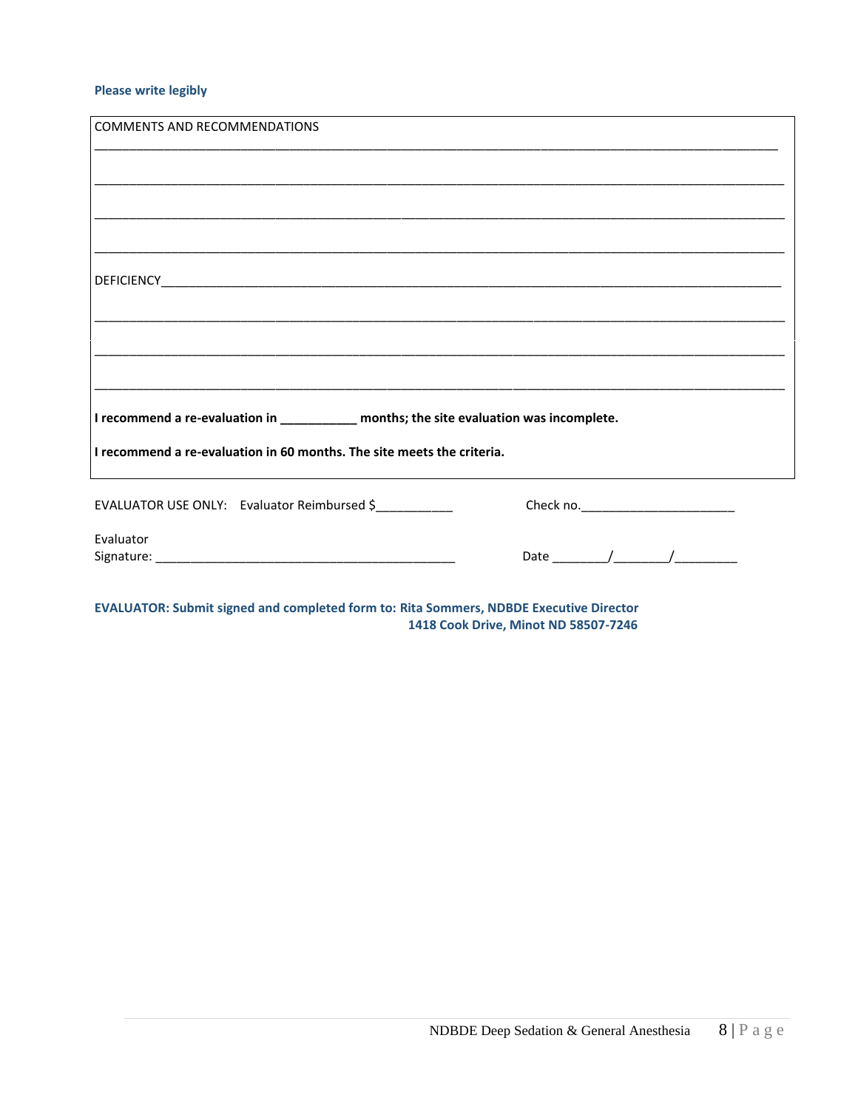#### **Please write legibly**

| <b>COMMENTS AND RECOMMENDATIONS</b>                                                                                   |                                                                                           |
|-----------------------------------------------------------------------------------------------------------------------|-------------------------------------------------------------------------------------------|
|                                                                                                                       |                                                                                           |
|                                                                                                                       |                                                                                           |
|                                                                                                                       |                                                                                           |
|                                                                                                                       |                                                                                           |
| <u> 1989 - Johann Stoff, deutscher Stoff, der Stoff, der Stoff, der Stoff, der Stoff, der Stoff, der Stoff, der S</u> |                                                                                           |
|                                                                                                                       |                                                                                           |
| ,我们就会在这里的人,我们就会在这里的人,我们就会在这里的人,我们就会在这里,我们就会在这里,我们就会在这里的人,我们就会在这里,我们就会在这里的人,我们就会在                                      |                                                                                           |
|                                                                                                                       |                                                                                           |
|                                                                                                                       |                                                                                           |
|                                                                                                                       |                                                                                           |
| I recommend a re-evaluation in $\frac{1}{1}$ months; the site evaluation was incomplete.                              |                                                                                           |
| I recommend a re-evaluation in 60 months. The site meets the criteria.                                                |                                                                                           |
| EVALUATOR USE ONLY: Evaluator Reimbursed \$                                                                           |                                                                                           |
| Evaluator                                                                                                             |                                                                                           |
|                                                                                                                       | Date $\frac{1}{\sqrt{1-\frac{1}{2}}}\left\vert \frac{1}{\sqrt{1-\frac{1}{2}}}\right\vert$ |
|                                                                                                                       |                                                                                           |
| EVALUATOR: Cubmit cianod and completed form to: Rito Commore, NDRDE Evecutive Director                                |                                                                                           |

**EVALUATOR: Submit signed and completed form to: Rita Sommers, NDBDE Executive Director** 1418 Cook Drive, Minot ND 58507-7246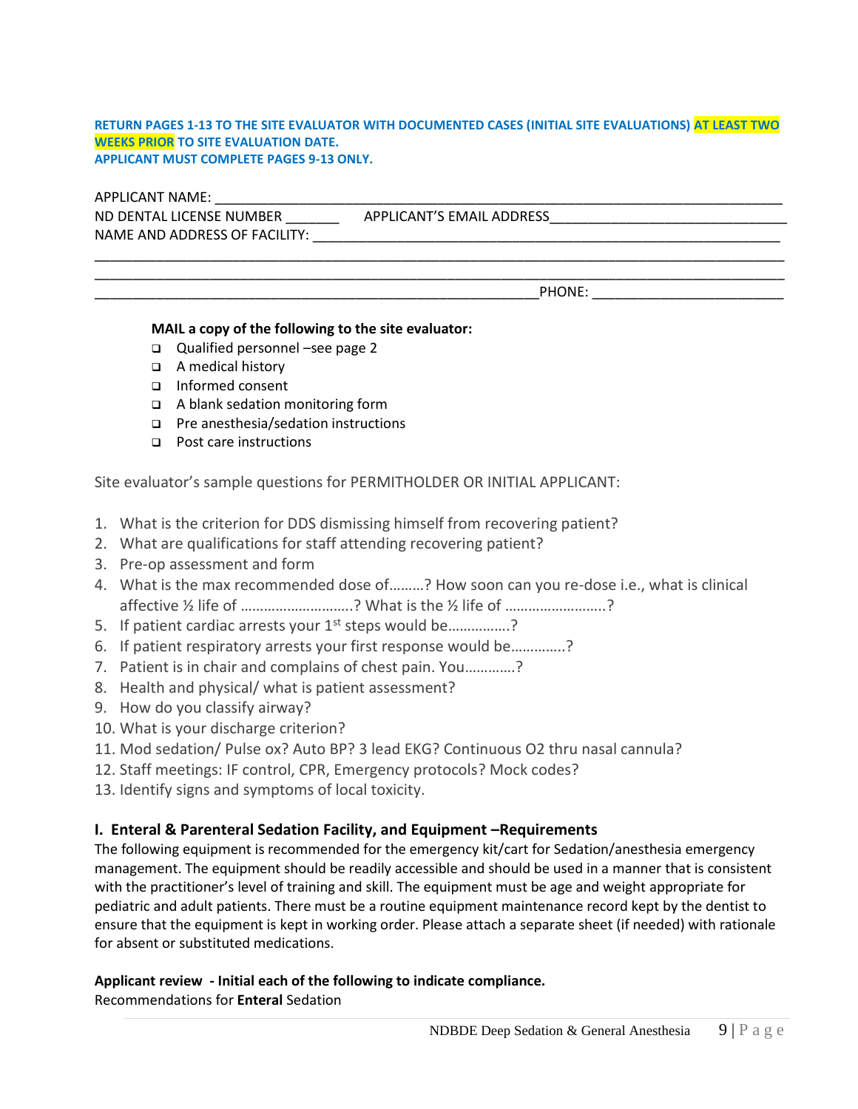#### **RETURN PAGES 1-13 TO THE SITE EVALUATOR WITH DOCUMENTED CASES (INITIAL SITE EVALUATIONS) AT LEAST TWO WEEKS PRIOR TO SITE EVALUATION DATE. APPLICANT MUST COMPLETE PAGES 9-13 ONLY.**

\_\_\_\_\_\_\_\_\_\_\_\_\_\_\_\_\_\_\_\_\_\_\_\_\_\_\_\_\_\_\_\_\_\_\_\_\_\_\_\_\_\_\_\_\_\_\_\_\_\_\_\_\_\_\_\_\_\_\_\_\_\_\_\_\_\_\_\_\_\_\_\_\_\_\_\_\_\_\_\_\_\_\_\_\_\_\_\_\_\_

APPLICANT NAME: \_\_\_\_\_\_\_\_\_\_\_\_\_\_\_\_\_\_\_\_\_\_\_\_\_\_\_\_\_\_\_\_\_\_\_\_\_\_\_\_\_\_\_\_\_\_\_\_\_\_\_\_\_\_\_\_\_\_\_\_\_\_\_\_\_\_\_\_\_\_\_\_\_\_ ND DENTAL LICENSE NUMBER \_\_\_\_\_\_\_\_\_\_\_\_\_\_\_ APPLICANT'S EMAIL ADDRESS\_\_\_\_\_\_\_\_\_\_\_\_\_\_\_\_\_\_\_\_\_\_\_\_\_\_\_\_\_\_\_\_\_ NAME AND ADDRESS OF FACILITY: \_\_\_\_\_\_\_\_\_\_\_\_\_\_\_\_\_\_\_\_\_\_\_\_\_\_\_\_\_\_\_\_\_\_\_\_\_\_\_\_\_\_\_\_\_\_\_\_\_\_\_\_\_\_\_\_\_\_\_\_\_

\_\_\_\_\_\_\_\_\_\_\_\_\_\_\_\_\_\_\_\_\_\_\_\_\_\_\_\_\_\_\_\_\_\_\_\_\_\_\_\_\_\_\_\_\_\_\_\_\_\_\_\_\_\_\_\_\_\_\_\_\_\_\_\_\_\_\_\_\_\_\_\_\_\_\_\_\_\_\_\_\_\_\_\_\_\_\_\_\_\_ PHONE: The state of the state of the state of the state of the state of the state of the state of the state of the state of the state of the state of the state of the state of the state of the state of the state of the sta

#### **MAIL a copy of the following to the site evaluator:**

- ❑ Qualified personnel –see page 2
- ❑ A medical history
- ❑ Informed consent
- ❑ A blank sedation monitoring form
- ❑ Pre anesthesia/sedation instructions
- ❑ Post care instructions

Site evaluator's sample questions for PERMITHOLDER OR INITIAL APPLICANT:

- 1. What is the criterion for DDS dismissing himself from recovering patient?
- 2. What are qualifications for staff attending recovering patient?
- 3. Pre-op assessment and form
- 4. What is the max recommended dose of………? How soon can you re-dose i.e., what is clinical affective ½ life of ………………………..? What is the ½ life of ……………………..?
- 5. If patient cardiac arrests your  $1<sup>st</sup>$  steps would be................?
- 6. If patient respiratory arrests your first response would be…………..?
- 7. Patient is in chair and complains of chest pain. You………….?
- 8. Health and physical/ what is patient assessment?
- 9. How do you classify airway?
- 10. What is your discharge criterion?
- 11. Mod sedation/ Pulse ox? Auto BP? 3 lead EKG? Continuous O2 thru nasal cannula?
- 12. Staff meetings: IF control, CPR, Emergency protocols? Mock codes?
- 13. Identify signs and symptoms of local toxicity.

## **I. Enteral & Parenteral Sedation Facility, and Equipment –Requirements**

The following equipment is recommended for the emergency kit/cart for Sedation/anesthesia emergency management. The equipment should be readily accessible and should be used in a manner that is consistent with the practitioner's level of training and skill. The equipment must be age and weight appropriate for pediatric and adult patients. There must be a routine equipment maintenance record kept by the dentist to ensure that the equipment is kept in working order. Please attach a separate sheet (if needed) with rationale for absent or substituted medications.

## **Applicant review - Initial each of the following to indicate compliance.**

Recommendations for **Enteral** Sedation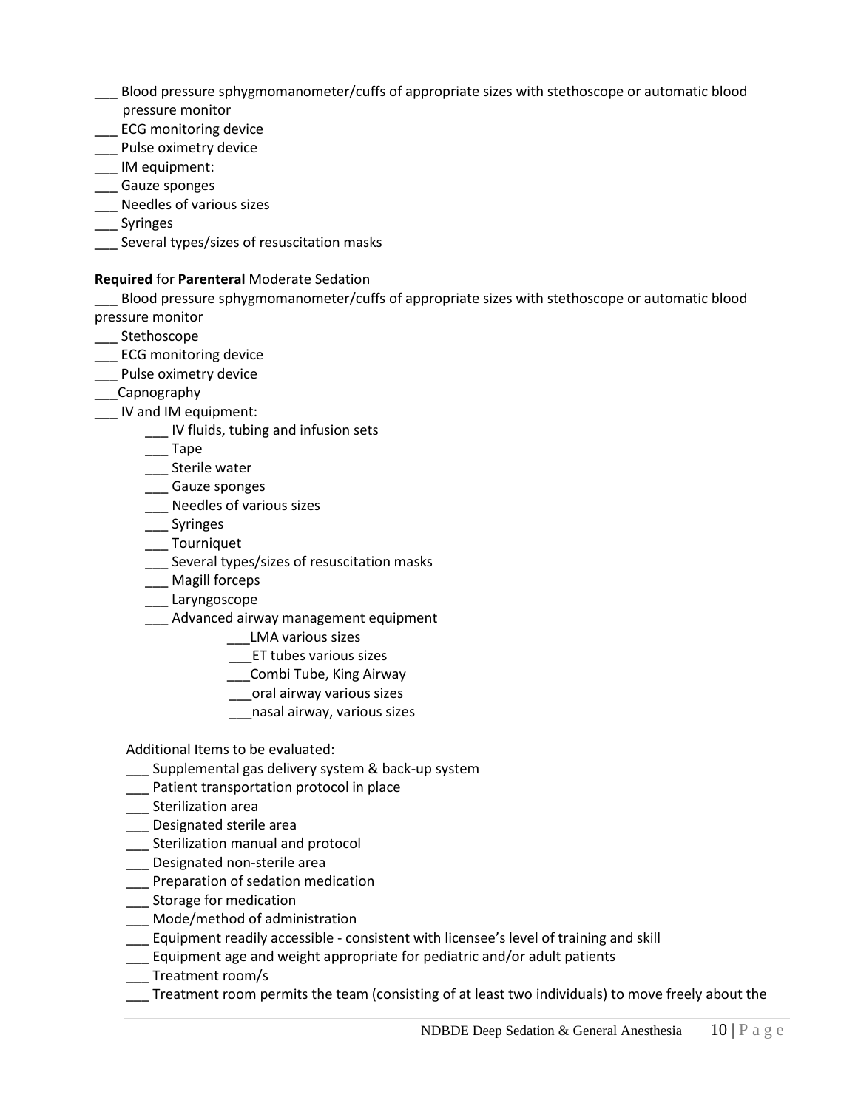- \_\_\_ Blood pressure sphygmomanometer/cuffs of appropriate sizes with stethoscope or automatic blood pressure monitor
- \_\_\_ ECG monitoring device
- \_\_\_ Pulse oximetry device
- \_\_\_ IM equipment:
- \_\_\_ Gauze sponges
- \_\_\_ Needles of various sizes
- \_\_\_ Syringes
- \_\_\_ Several types/sizes of resuscitation masks

# **Required** for **Parenteral** Moderate Sedation

\_\_\_ Blood pressure sphygmomanometer/cuffs of appropriate sizes with stethoscope or automatic blood pressure monitor

- \_\_\_ Stethoscope
- \_\_\_ ECG monitoring device
- \_\_\_ Pulse oximetry device
- \_\_\_Capnography
- \_\_\_ IV and IM equipment:
	- \_\_\_ IV fluids, tubing and infusion sets
	- \_\_\_ Tape
	- \_\_\_ Sterile water
	- \_\_\_ Gauze sponges
	- \_\_\_ Needles of various sizes
	- \_\_\_ Syringes
	- \_\_\_ Tourniquet
	- \_\_\_ Several types/sizes of resuscitation masks
	- \_\_\_ Magill forceps
	- \_\_\_ Laryngoscope
	- \_\_\_ Advanced airway management equipment
		- \_\_\_LMA various sizes
		- \_\_\_ET tubes various sizes
		- \_\_\_Combi Tube, King Airway
		- \_\_\_oral airway various sizes
		- \_\_\_nasal airway, various sizes

Additional Items to be evaluated:

- \_\_\_ Supplemental gas delivery system & back-up system
- \_\_\_ Patient transportation protocol in place
- \_\_\_ Sterilization area
- \_\_\_ Designated sterile area
- \_\_\_ Sterilization manual and protocol
- \_\_\_ Designated non-sterile area
- \_\_\_ Preparation of sedation medication
- \_\_\_ Storage for medication
- \_\_\_ Mode/method of administration
- \_\_\_ Equipment readily accessible consistent with licensee's level of training and skill
- \_\_\_ Equipment age and weight appropriate for pediatric and/or adult patients
- \_\_\_ Treatment room/s
- \_\_\_ Treatment room permits the team (consisting of at least two individuals) to move freely about the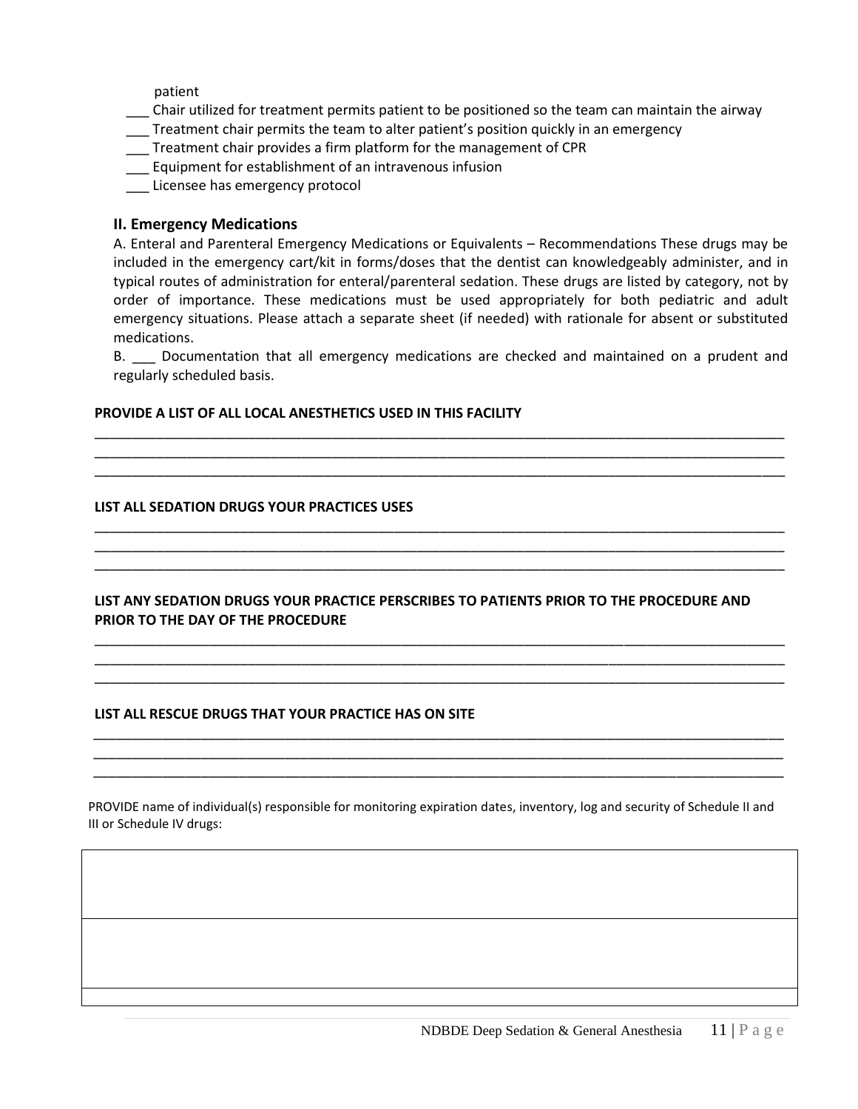patient

- \_\_\_ Chair utilized for treatment permits patient to be positioned so the team can maintain the airway
- \_\_\_ Treatment chair permits the team to alter patient's position quickly in an emergency
- \_\_\_ Treatment chair provides a firm platform for the management of CPR
- \_\_\_ Equipment for establishment of an intravenous infusion
- \_\_\_ Licensee has emergency protocol

# **II. Emergency Medications**

A. Enteral and Parenteral Emergency Medications or Equivalents – Recommendations These drugs may be included in the emergency cart/kit in forms/doses that the dentist can knowledgeably administer, and in typical routes of administration for enteral/parenteral sedation. These drugs are listed by category, not by order of importance. These medications must be used appropriately for both pediatric and adult emergency situations. Please attach a separate sheet (if needed) with rationale for absent or substituted medications.

B. \_\_\_ Documentation that all emergency medications are checked and maintained on a prudent and regularly scheduled basis.

\_\_\_\_\_\_\_\_\_\_\_\_\_\_\_\_\_\_\_\_\_\_\_\_\_\_\_\_\_\_\_\_\_\_\_\_\_\_\_\_\_\_\_\_\_\_\_\_\_\_\_\_\_\_\_\_\_\_\_\_\_\_\_\_\_\_\_\_\_\_\_\_\_\_\_\_\_\_\_\_\_\_\_\_\_\_\_\_\_\_ \_\_\_\_\_\_\_\_\_\_\_\_\_\_\_\_\_\_\_\_\_\_\_\_\_\_\_\_\_\_\_\_\_\_\_\_\_\_\_\_\_\_\_\_\_\_\_\_\_\_\_\_\_\_\_\_\_\_\_\_\_\_\_\_\_\_\_\_\_\_\_\_\_\_\_\_\_\_\_\_\_\_\_\_\_\_\_\_\_\_ \_\_\_\_\_\_\_\_\_\_\_\_\_\_\_\_\_\_\_\_\_\_\_\_\_\_\_\_\_\_\_\_\_\_\_\_\_\_\_\_\_\_\_\_\_\_\_\_\_\_\_\_\_\_\_\_\_\_\_\_\_\_\_\_\_\_\_\_\_\_\_\_\_\_\_\_\_\_\_\_\_\_\_\_\_\_\_\_\_\_

\_\_\_\_\_\_\_\_\_\_\_\_\_\_\_\_\_\_\_\_\_\_\_\_\_\_\_\_\_\_\_\_\_\_\_\_\_\_\_\_\_\_\_\_\_\_\_\_\_\_\_\_\_\_\_\_\_\_\_\_\_\_\_\_\_\_\_\_\_\_\_\_\_\_\_\_\_\_\_\_\_\_\_\_\_\_\_\_\_\_ \_\_\_\_\_\_\_\_\_\_\_\_\_\_\_\_\_\_\_\_\_\_\_\_\_\_\_\_\_\_\_\_\_\_\_\_\_\_\_\_\_\_\_\_\_\_\_\_\_\_\_\_\_\_\_\_\_\_\_\_\_\_\_\_\_\_\_\_\_\_\_\_\_\_\_\_\_\_\_\_\_\_\_\_\_\_\_\_\_\_ \_\_\_\_\_\_\_\_\_\_\_\_\_\_\_\_\_\_\_\_\_\_\_\_\_\_\_\_\_\_\_\_\_\_\_\_\_\_\_\_\_\_\_\_\_\_\_\_\_\_\_\_\_\_\_\_\_\_\_\_\_\_\_\_\_\_\_\_\_\_\_\_\_\_\_\_\_\_\_\_\_\_\_\_\_\_\_\_\_\_

## **PROVIDE A LIST OF ALL LOCAL ANESTHETICS USED IN THIS FACILITY**

## **LIST ALL SEDATION DRUGS YOUR PRACTICES USES**

**LIST ANY SEDATION DRUGS YOUR PRACTICE PERSCRIBES TO PATIENTS PRIOR TO THE PROCEDURE AND PRIOR TO THE DAY OF THE PROCEDURE**

\_\_\_\_\_\_\_\_\_\_\_\_\_\_\_\_\_\_\_\_\_\_\_\_\_\_\_\_\_\_\_\_\_\_\_\_\_\_\_\_\_\_\_\_\_\_\_\_\_\_\_\_\_\_\_\_\_\_\_\_\_\_\_\_\_\_\_\_\_\_\_\_\_\_\_\_\_\_\_\_\_\_\_\_\_\_\_\_\_\_ \_\_\_\_\_\_\_\_\_\_\_\_\_\_\_\_\_\_\_\_\_\_\_\_\_\_\_\_\_\_\_\_\_\_\_\_\_\_\_\_\_\_\_\_\_\_\_\_\_\_\_\_\_\_\_\_\_\_\_\_\_\_\_\_\_\_\_\_\_\_\_\_\_\_\_\_\_\_\_\_\_\_\_\_\_\_\_\_\_\_ \_\_\_\_\_\_\_\_\_\_\_\_\_\_\_\_\_\_\_\_\_\_\_\_\_\_\_\_\_\_\_\_\_\_\_\_\_\_\_\_\_\_\_\_\_\_\_\_\_\_\_\_\_\_\_\_\_\_\_\_\_\_\_\_\_\_\_\_\_\_\_\_\_\_\_\_\_\_\_\_\_\_\_\_\_\_\_\_\_\_

*\_\_\_\_\_\_\_\_\_\_\_\_\_\_\_\_\_\_\_\_\_\_\_\_\_\_\_\_\_\_\_\_\_\_\_\_\_\_\_\_\_\_\_\_\_\_\_\_\_\_\_\_\_\_\_\_\_\_\_\_\_\_\_\_\_\_\_\_\_\_\_\_\_\_\_\_\_\_\_\_\_\_\_\_\_\_\_\_\_\_ \_\_\_\_\_\_\_\_\_\_\_\_\_\_\_\_\_\_\_\_\_\_\_\_\_\_\_\_\_\_\_\_\_\_\_\_\_\_\_\_\_\_\_\_\_\_\_\_\_\_\_\_\_\_\_\_\_\_\_\_\_\_\_\_\_\_\_\_\_\_\_\_\_\_\_\_\_\_\_\_\_\_\_\_\_\_\_\_\_\_ \_\_\_\_\_\_\_\_\_\_\_\_\_\_\_\_\_\_\_\_\_\_\_\_\_\_\_\_\_\_\_\_\_\_\_\_\_\_\_\_\_\_\_\_\_\_\_\_\_\_\_\_\_\_\_\_\_\_\_\_\_\_\_\_\_\_\_\_\_\_\_\_\_\_\_\_\_\_\_\_\_\_\_\_\_\_\_\_\_\_*

## **LIST ALL RESCUE DRUGS THAT YOUR PRACTICE HAS ON SITE**

PROVIDE name of individual(s) responsible for monitoring expiration dates, inventory, log and security of Schedule II and III or Schedule IV drugs: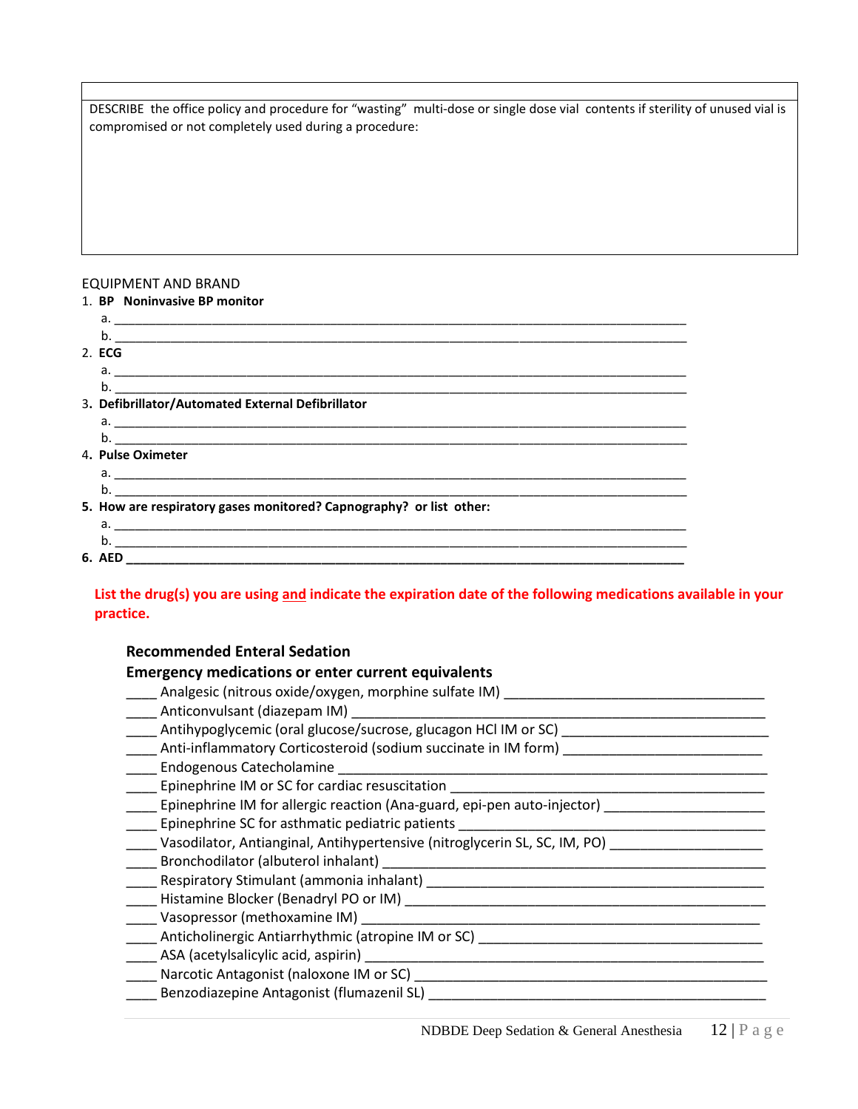DESCRIBE the office policy and procedure for "wasting" multi-dose or single dose vial contents if sterility of unused vial is compromised or not completely used during a procedure:

#### EQUIPMENT AND BRAND

| 1. BP Noninvasive BP monitor                                        |
|---------------------------------------------------------------------|
|                                                                     |
| $\mathsf{b}$ .                                                      |
| 2. ECG                                                              |
|                                                                     |
|                                                                     |
| 3. Defibrillator/Automated External Defibrillator                   |
|                                                                     |
|                                                                     |
| 4. Pulse Oximeter                                                   |
|                                                                     |
|                                                                     |
| 5. How are respiratory gases monitored? Capnography? or list other: |
|                                                                     |
|                                                                     |
|                                                                     |

# **List the drug(s) you are using and indicate the expiration date of the following medications available in your practice.**

## **Recommended Enteral Sedation**

#### **Emergency medications or enter current equivalents**

\_\_\_\_ Analgesic (nitrous oxide/oxygen, morphine sulfate IM) \_\_\_\_\_\_\_\_\_\_\_\_\_\_\_\_\_\_\_\_\_\_\_\_\_\_\_\_\_\_\_\_\_\_ \_\_\_\_\_ Anticonvulsant (diazepam IM) \_\_\_\_ Antihypoglycemic (oral glucose/sucrose, glucagon HCl IM or SC) \_\_\_\_\_\_\_\_\_\_\_\_\_\_\_\_\_\_\_\_\_\_\_\_\_\_\_ Anti-inflammatory Corticosteroid (sodium succinate in IM form) \_\_\_\_ Endogenous Catecholamine \_\_\_\_\_\_\_\_\_\_\_\_\_\_\_\_\_\_\_\_\_\_\_\_\_\_\_\_\_\_\_\_\_\_\_\_\_\_\_\_\_\_\_\_\_\_\_\_\_\_\_\_\_\_\_\_ \_\_\_\_ Epinephrine IM or SC for cardiac resuscitation \_\_\_\_\_\_\_\_\_\_\_\_\_\_\_\_\_\_\_\_\_\_\_\_\_\_\_\_\_\_\_\_\_\_\_\_\_\_\_\_\_ Lepinephrine IM for allergic reaction (Ana-guard, epi-pen auto-injector) [10001111111111111111111111111111111 \_\_\_\_ Epinephrine SC for asthmatic pediatric patients \_\_\_\_\_\_\_\_\_\_\_\_\_\_\_\_\_\_\_\_\_\_\_\_\_\_\_\_\_\_\_\_\_\_\_\_\_\_\_\_ \_\_\_\_ Vasodilator, Antianginal, Antihypertensive (nitroglycerin SL, SC, IM, PO) \_\_\_\_\_\_\_\_\_\_\_\_\_\_\_\_\_\_\_\_ \_\_\_\_ Bronchodilator (albuterol inhalant) \_\_\_\_\_\_\_\_\_\_\_\_\_\_\_\_\_\_\_\_\_\_\_\_\_\_\_\_\_\_\_\_\_\_\_\_\_\_\_\_\_\_\_\_\_\_\_\_\_\_ \_\_\_\_\_ Respiratory Stimulant (ammonia inhalant) \_\_\_\_\_\_\_\_\_\_\_\_\_\_\_\_\_\_\_\_\_\_\_\_\_\_\_\_\_\_\_\_\_\_ \_\_\_\_ Histamine Blocker (Benadryl PO or IM) \_\_\_\_\_\_\_\_\_\_\_\_\_\_\_\_\_\_\_\_\_\_\_\_\_\_\_\_\_\_\_\_\_\_\_\_\_\_\_\_\_\_\_\_\_\_\_  $\frac{1}{2}$  Vasopressor (methoxamine IM)  $\frac{1}{2}$ \_\_\_\_ Anticholinergic Antiarrhythmic (atropine IM or SC) \_\_\_\_\_\_\_\_\_\_\_\_\_\_\_\_\_\_\_\_\_\_\_\_\_\_\_\_\_\_\_\_\_\_\_\_\_ \_\_\_\_ ASA (acetylsalicylic acid, aspirin) \_\_\_\_\_\_\_\_\_\_\_\_\_\_\_\_\_\_\_\_\_\_\_\_\_\_\_\_\_\_\_\_\_\_\_\_\_\_\_\_\_\_\_\_\_\_\_\_\_\_\_\_ \_\_\_\_ Narcotic Antagonist (naloxone IM or SC) \_\_\_\_\_\_\_\_\_\_\_\_\_\_\_\_\_\_\_\_\_\_\_\_\_\_\_\_\_\_\_\_\_\_\_\_\_\_\_\_\_\_\_\_\_\_ \_\_\_\_ Benzodiazepine Antagonist (flumazenil SL) \_\_\_\_\_\_\_\_\_\_\_\_\_\_\_\_\_\_\_\_\_\_\_\_\_\_\_\_\_\_\_\_\_\_\_\_\_\_\_\_\_\_\_\_